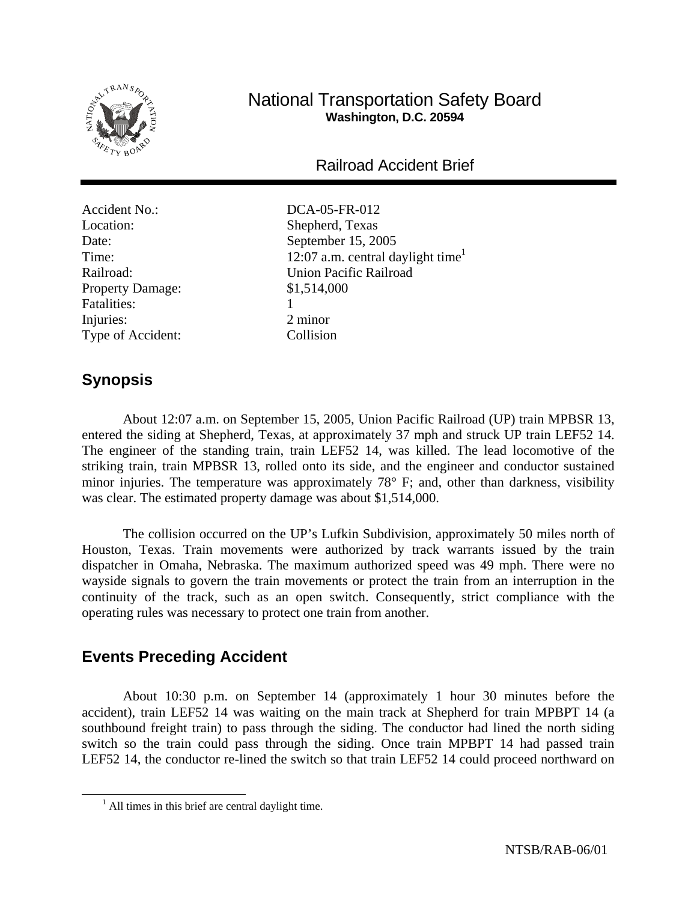

# National Transportation Safety Board **Washington, D.C. 20594**

Railroad Accident Brief

Accident No.: DCA-05-FR-012 Location: Shepherd, Texas Property Damage:  $$1,514,000$ Fatalities: 1 Injuries: 2 minor Type of Accident: Collision

Date: September 15, 2005 Time:  $12:07$  a.m. central daylight time<sup>1</sup> Railroad: Union Pacific Railroad

# **Synopsis**

About 12:07 a.m. on September 15, 2005, Union Pacific Railroad (UP) train MPBSR 13, entered the siding at Shepherd, Texas, at approximately 37 mph and struck UP train LEF52 14. The engineer of the standing train, train LEF52 14, was killed. The lead locomotive of the striking train, train MPBSR 13, rolled onto its side, and the engineer and conductor sustained minor injuries. The temperature was approximately 78° F; and, other than darkness, visibility was clear. The estimated property damage was about \$1,514,000.

The collision occurred on the UP's Lufkin Subdivision, approximately 50 miles north of Houston, Texas. Train movements were authorized by track warrants issued by the train dispatcher in Omaha, Nebraska. The maximum authorized speed was 49 mph. There were no wayside signals to govern the train movements or protect the train from an interruption in the continuity of the track, such as an open switch. Consequently, strict compliance with the operating rules was necessary to protect one train from another.

# **Events Preceding Accident**

About 10:30 p.m. on September 14 (approximately 1 hour 30 minutes before the accident), train LEF52 14 was waiting on the main track at Shepherd for train MPBPT 14 (a southbound freight train) to pass through the siding. The conductor had lined the north siding switch so the train could pass through the siding. Once train MPBPT 14 had passed train LEF52 14, the conductor re-lined the switch so that train LEF52 14 could proceed northward on

 <sup>1</sup>  $<sup>1</sup>$  All times in this brief are central daylight time.</sup>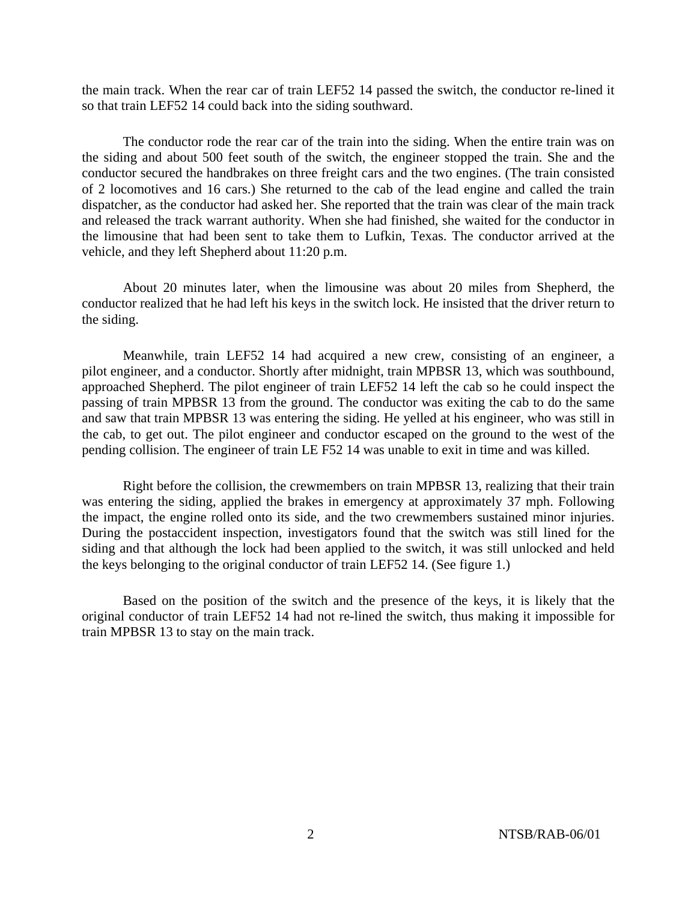the main track. When the rear car of train LEF52 14 passed the switch, the conductor re-lined it so that train LEF52 14 could back into the siding southward.

The conductor rode the rear car of the train into the siding. When the entire train was on the siding and about 500 feet south of the switch, the engineer stopped the train. She and the conductor secured the handbrakes on three freight cars and the two engines. (The train consisted of 2 locomotives and 16 cars.) She returned to the cab of the lead engine and called the train dispatcher, as the conductor had asked her. She reported that the train was clear of the main track and released the track warrant authority. When she had finished, she waited for the conductor in the limousine that had been sent to take them to Lufkin, Texas. The conductor arrived at the vehicle, and they left Shepherd about 11:20 p.m.

About 20 minutes later, when the limousine was about 20 miles from Shepherd, the conductor realized that he had left his keys in the switch lock. He insisted that the driver return to the siding.

Meanwhile, train LEF52 14 had acquired a new crew, consisting of an engineer, a pilot engineer, and a conductor. Shortly after midnight, train MPBSR 13, which was southbound, approached Shepherd. The pilot engineer of train LEF52 14 left the cab so he could inspect the passing of train MPBSR 13 from the ground. The conductor was exiting the cab to do the same and saw that train MPBSR 13 was entering the siding. He yelled at his engineer, who was still in the cab, to get out. The pilot engineer and conductor escaped on the ground to the west of the pending collision. The engineer of train LE F52 14 was unable to exit in time and was killed.

Right before the collision, the crewmembers on train MPBSR 13, realizing that their train was entering the siding, applied the brakes in emergency at approximately 37 mph. Following the impact, the engine rolled onto its side, and the two crewmembers sustained minor injuries. During the postaccident inspection, investigators found that the switch was still lined for the siding and that although the lock had been applied to the switch, it was still unlocked and held the keys belonging to the original conductor of train LEF52 14. (See figure 1.)

Based on the position of the switch and the presence of the keys, it is likely that the original conductor of train LEF52 14 had not re-lined the switch, thus making it impossible for train MPBSR 13 to stay on the main track.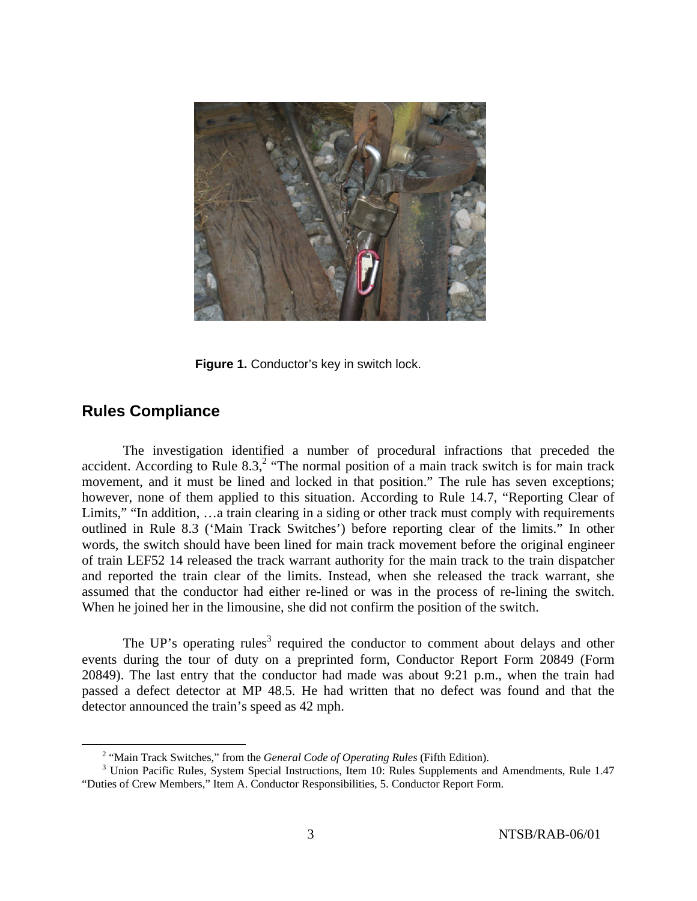

**Figure 1.** Conductor's key in switch lock.

# **Rules Compliance**

The investigation identified a number of procedural infractions that preceded the accident. According to Rule  $8.3$ ,<sup>2</sup> "The normal position of a main track switch is for main track movement, and it must be lined and locked in that position." The rule has seven exceptions; however, none of them applied to this situation. According to Rule 14.7, "Reporting Clear of Limits," "In addition, …a train clearing in a siding or other track must comply with requirements outlined in Rule 8.3 ('Main Track Switches') before reporting clear of the limits." In other words, the switch should have been lined for main track movement before the original engineer of train LEF52 14 released the track warrant authority for the main track to the train dispatcher and reported the train clear of the limits. Instead, when she released the track warrant, she assumed that the conductor had either re-lined or was in the process of re-lining the switch. When he joined her in the limousine, she did not confirm the position of the switch.

The UP's operating rules<sup>3</sup> required the conductor to comment about delays and other events during the tour of duty on a preprinted form, Conductor Report Form 20849 (Form 20849). The last entry that the conductor had made was about 9:21 p.m., when the train had passed a defect detector at MP 48.5. He had written that no defect was found and that the detector announced the train's speed as 42 mph.

 $\frac{1}{2}$ <sup>2</sup> "Main Track Switches," from the *General Code of Operating Rules* (Fifth Edition).

<sup>&</sup>lt;sup>3</sup> Union Pacific Rules, System Special Instructions, Item 10: Rules Supplements and Amendments, Rule 1.47 "Duties of Crew Members," Item A. Conductor Responsibilities, 5. Conductor Report Form.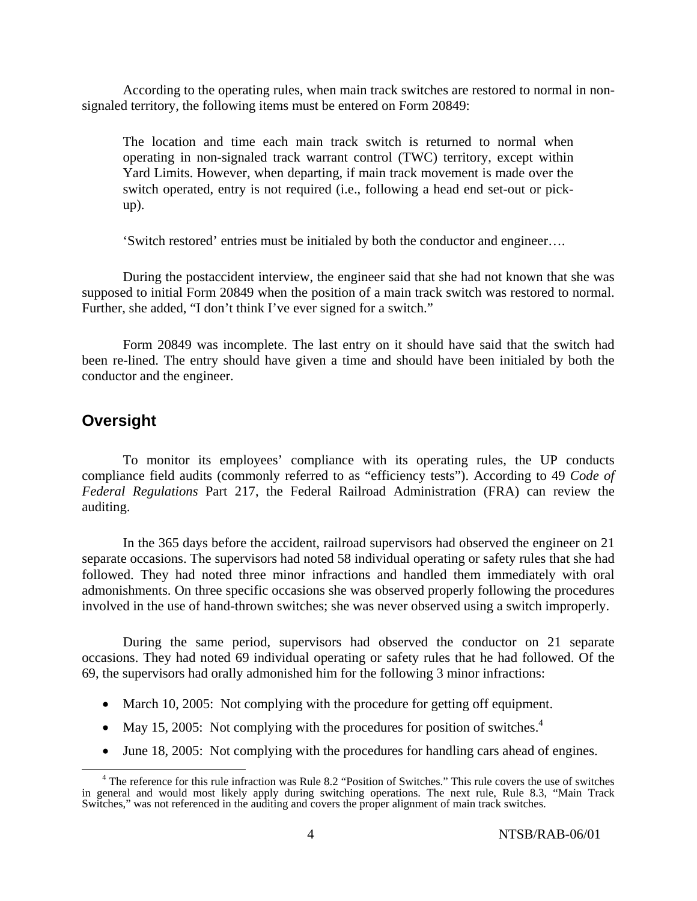According to the operating rules, when main track switches are restored to normal in nonsignaled territory, the following items must be entered on Form 20849:

The location and time each main track switch is returned to normal when operating in non-signaled track warrant control (TWC) territory, except within Yard Limits. However, when departing, if main track movement is made over the switch operated, entry is not required (i.e., following a head end set-out or pickup).

'Switch restored' entries must be initialed by both the conductor and engineer….

During the postaccident interview, the engineer said that she had not known that she was supposed to initial Form 20849 when the position of a main track switch was restored to normal. Further, she added, "I don't think I've ever signed for a switch."

Form 20849 was incomplete. The last entry on it should have said that the switch had been re-lined. The entry should have given a time and should have been initialed by both the conductor and the engineer.

## **Oversight**

To monitor its employees' compliance with its operating rules, the UP conducts compliance field audits (commonly referred to as "efficiency tests"). According to 49 *Code of Federal Regulations* Part 217, the Federal Railroad Administration (FRA) can review the auditing.

In the 365 days before the accident, railroad supervisors had observed the engineer on 21 separate occasions. The supervisors had noted 58 individual operating or safety rules that she had followed. They had noted three minor infractions and handled them immediately with oral admonishments. On three specific occasions she was observed properly following the procedures involved in the use of hand-thrown switches; she was never observed using a switch improperly.

During the same period, supervisors had observed the conductor on 21 separate occasions. They had noted 69 individual operating or safety rules that he had followed. Of the 69, the supervisors had orally admonished him for the following 3 minor infractions:

- March 10, 2005: Not complying with the procedure for getting off equipment.
- May 15, 2005: Not complying with the procedures for position of switches. $4$
- June 18, 2005: Not complying with the procedures for handling cars ahead of engines.

<sup>&</sup>lt;sup>4</sup> The reference for this rule infraction was Rule 8.2 "Position of Switches." This rule covers the use of switches in general and would most likely apply during switching operations. The next rule, Rule 8.3, "Main Track Switches," was not referenced in the auditing and covers the proper alignment of main track switches.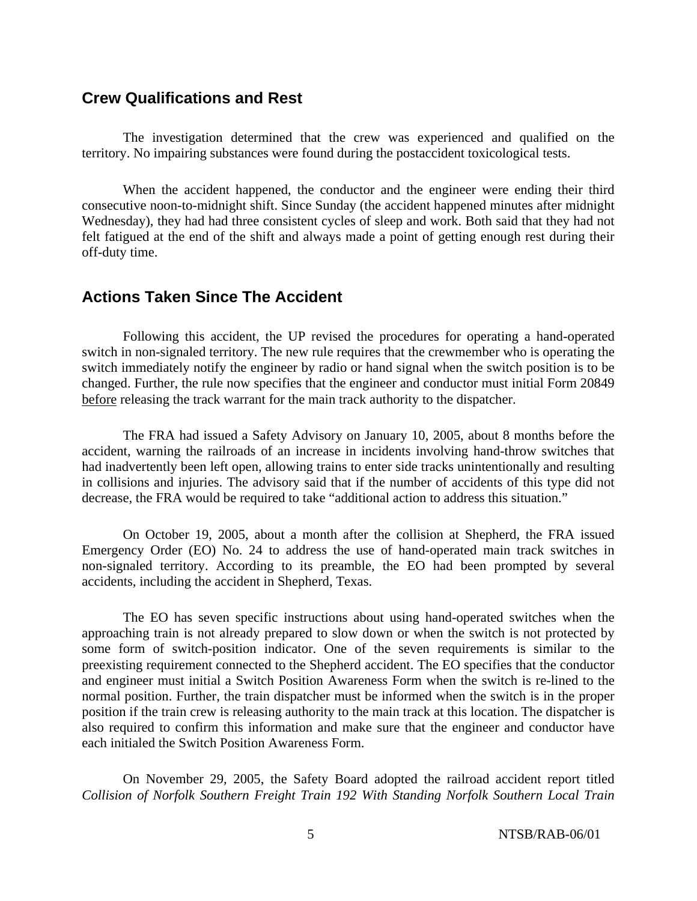### **Crew Qualifications and Rest**

The investigation determined that the crew was experienced and qualified on the territory. No impairing substances were found during the postaccident toxicological tests.

When the accident happened, the conductor and the engineer were ending their third consecutive noon-to-midnight shift. Since Sunday (the accident happened minutes after midnight Wednesday), they had had three consistent cycles of sleep and work. Both said that they had not felt fatigued at the end of the shift and always made a point of getting enough rest during their off-duty time.

## **Actions Taken Since The Accident**

Following this accident, the UP revised the procedures for operating a hand-operated switch in non-signaled territory. The new rule requires that the crewmember who is operating the switch immediately notify the engineer by radio or hand signal when the switch position is to be changed. Further, the rule now specifies that the engineer and conductor must initial Form 20849 before releasing the track warrant for the main track authority to the dispatcher.

The FRA had issued a Safety Advisory on January 10, 2005, about 8 months before the accident, warning the railroads of an increase in incidents involving hand-throw switches that had inadvertently been left open, allowing trains to enter side tracks unintentionally and resulting in collisions and injuries. The advisory said that if the number of accidents of this type did not decrease, the FRA would be required to take "additional action to address this situation."

On October 19, 2005, about a month after the collision at Shepherd, the FRA issued Emergency Order (EO) No. 24 to address the use of hand-operated main track switches in non-signaled territory. According to its preamble, the EO had been prompted by several accidents, including the accident in Shepherd, Texas.

The EO has seven specific instructions about using hand-operated switches when the approaching train is not already prepared to slow down or when the switch is not protected by some form of switch-position indicator. One of the seven requirements is similar to the preexisting requirement connected to the Shepherd accident. The EO specifies that the conductor and engineer must initial a Switch Position Awareness Form when the switch is re-lined to the normal position. Further, the train dispatcher must be informed when the switch is in the proper position if the train crew is releasing authority to the main track at this location. The dispatcher is also required to confirm this information and make sure that the engineer and conductor have each initialed the Switch Position Awareness Form.

On November 29, 2005, the Safety Board adopted the railroad accident report titled *Collision of Norfolk Southern Freight Train 192 With Standing Norfolk Southern Local Train*